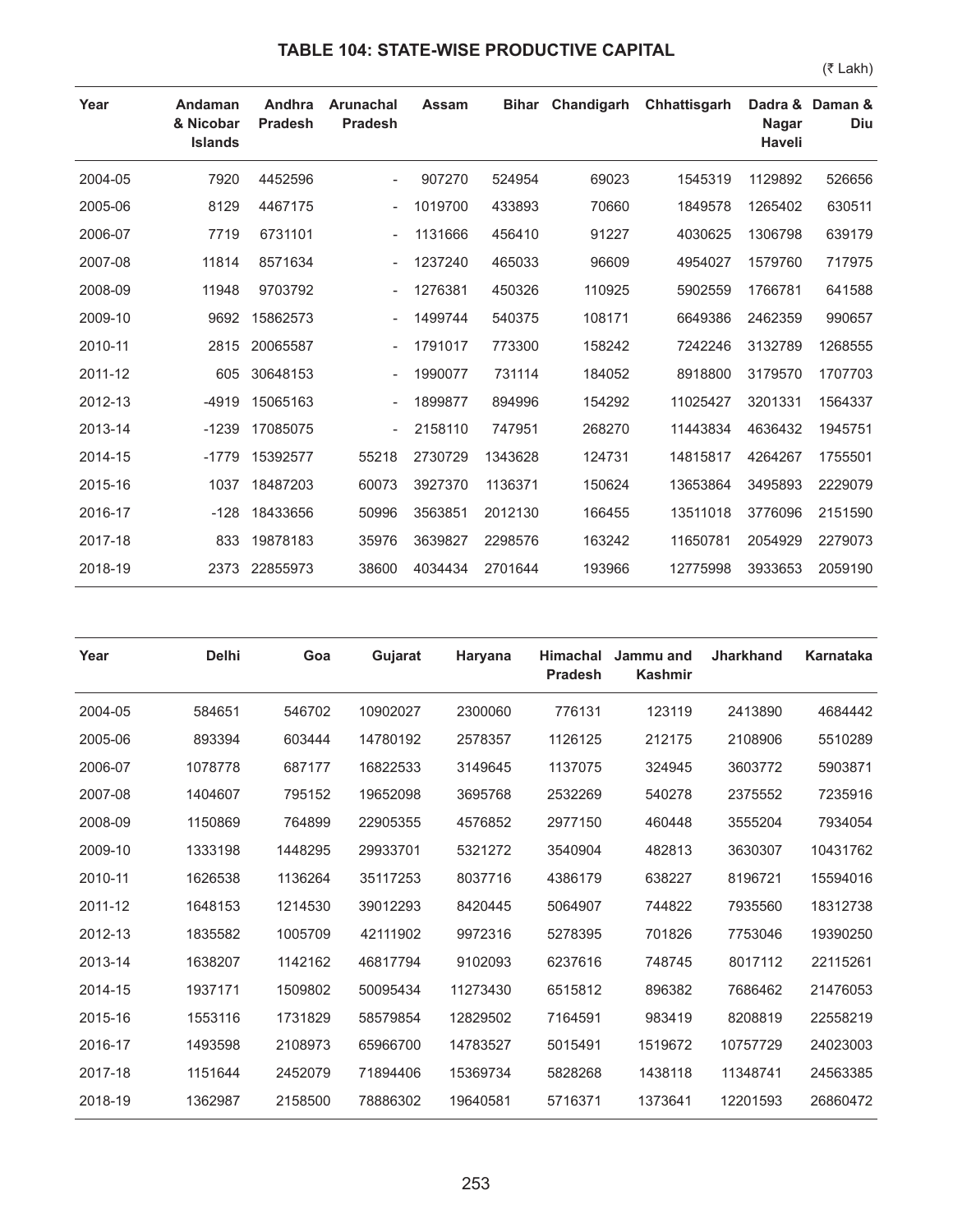## **TABLE 104: STATE-WISE PRODUCTIVE CAPITAL**

(₹ Lakh)

| Year    | Andaman<br>& Nicobar<br><b>Islands</b> | Andhra<br><b>Pradesh</b> | <b>Arunachal</b><br><b>Pradesh</b> | Assam   | <b>Bihar</b> | Chandigarh | Chhattisgarh | Dadra &<br><b>Nagar</b><br><b>Haveli</b> | Daman &<br>Diu |
|---------|----------------------------------------|--------------------------|------------------------------------|---------|--------------|------------|--------------|------------------------------------------|----------------|
| 2004-05 | 7920                                   | 4452596                  |                                    | 907270  | 524954       | 69023      | 1545319      | 1129892                                  | 526656         |
| 2005-06 | 8129                                   | 4467175                  |                                    | 1019700 | 433893       | 70660      | 1849578      | 1265402                                  | 630511         |
| 2006-07 | 7719                                   | 6731101                  |                                    | 1131666 | 456410       | 91227      | 4030625      | 1306798                                  | 639179         |
| 2007-08 | 11814                                  | 8571634                  |                                    | 1237240 | 465033       | 96609      | 4954027      | 1579760                                  | 717975         |
| 2008-09 | 11948                                  | 9703792                  |                                    | 1276381 | 450326       | 110925     | 5902559      | 1766781                                  | 641588         |
| 2009-10 | 9692                                   | 15862573                 |                                    | 1499744 | 540375       | 108171     | 6649386      | 2462359                                  | 990657         |
| 2010-11 | 2815                                   | 20065587                 |                                    | 1791017 | 773300       | 158242     | 7242246      | 3132789                                  | 1268555        |
| 2011-12 | 605                                    | 30648153                 |                                    | 1990077 | 731114       | 184052     | 8918800      | 3179570                                  | 1707703        |
| 2012-13 | $-4919$                                | 15065163                 |                                    | 1899877 | 894996       | 154292     | 11025427     | 3201331                                  | 1564337        |
| 2013-14 | $-1239$                                | 17085075                 |                                    | 2158110 | 747951       | 268270     | 11443834     | 4636432                                  | 1945751        |
| 2014-15 | $-1779$                                | 15392577                 | 55218                              | 2730729 | 1343628      | 124731     | 14815817     | 4264267                                  | 1755501        |
| 2015-16 | 1037                                   | 18487203                 | 60073                              | 3927370 | 1136371      | 150624     | 13653864     | 3495893                                  | 2229079        |
| 2016-17 | $-128$                                 | 18433656                 | 50996                              | 3563851 | 2012130      | 166455     | 13511018     | 3776096                                  | 2151590        |
| 2017-18 | 833                                    | 19878183                 | 35976                              | 3639827 | 2298576      | 163242     | 11650781     | 2054929                                  | 2279073        |
| 2018-19 | 2373                                   | 22855973                 | 38600                              | 4034434 | 2701644      | 193966     | 12775998     | 3933653                                  | 2059190        |

| Year    | <b>Delhi</b> | Goa     | Gujarat  | Haryana  | <b>Himachal</b><br><b>Pradesh</b> | Jammu and<br><b>Kashmir</b> | <b>Jharkhand</b> | <b>Karnataka</b> |
|---------|--------------|---------|----------|----------|-----------------------------------|-----------------------------|------------------|------------------|
| 2004-05 | 584651       | 546702  | 10902027 | 2300060  | 776131                            | 123119                      | 2413890          | 4684442          |
| 2005-06 | 893394       | 603444  | 14780192 | 2578357  | 1126125                           | 212175                      | 2108906          | 5510289          |
| 2006-07 | 1078778      | 687177  | 16822533 | 3149645  | 1137075                           | 324945                      | 3603772          | 5903871          |
| 2007-08 | 1404607      | 795152  | 19652098 | 3695768  | 2532269                           | 540278                      | 2375552          | 7235916          |
| 2008-09 | 1150869      | 764899  | 22905355 | 4576852  | 2977150                           | 460448                      | 3555204          | 7934054          |
| 2009-10 | 1333198      | 1448295 | 29933701 | 5321272  | 3540904                           | 482813                      | 3630307          | 10431762         |
| 2010-11 | 1626538      | 1136264 | 35117253 | 8037716  | 4386179                           | 638227                      | 8196721          | 15594016         |
| 2011-12 | 1648153      | 1214530 | 39012293 | 8420445  | 5064907                           | 744822                      | 7935560          | 18312738         |
| 2012-13 | 1835582      | 1005709 | 42111902 | 9972316  | 5278395                           | 701826                      | 7753046          | 19390250         |
| 2013-14 | 1638207      | 1142162 | 46817794 | 9102093  | 6237616                           | 748745                      | 8017112          | 22115261         |
| 2014-15 | 1937171      | 1509802 | 50095434 | 11273430 | 6515812                           | 896382                      | 7686462          | 21476053         |
| 2015-16 | 1553116      | 1731829 | 58579854 | 12829502 | 7164591                           | 983419                      | 8208819          | 22558219         |
| 2016-17 | 1493598      | 2108973 | 65966700 | 14783527 | 5015491                           | 1519672                     | 10757729         | 24023003         |
| 2017-18 | 1151644      | 2452079 | 71894406 | 15369734 | 5828268                           | 1438118                     | 11348741         | 24563385         |
| 2018-19 | 1362987      | 2158500 | 78886302 | 19640581 | 5716371                           | 1373641                     | 12201593         | 26860472         |